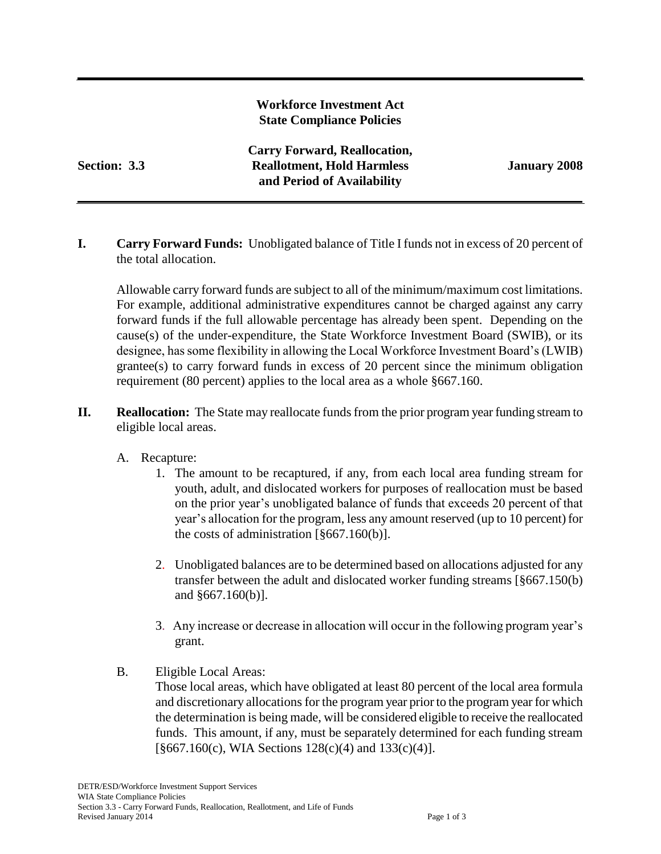## **Workforce Investment Act State Compliance Policies**

**Carry Forward, Reallocation, Section: 3.3 Reallotment, Hold Harmless January 2008 and Period of Availability**

**I. Carry Forward Funds:** Unobligated balance of Title I funds not in excess of 20 percent of the total allocation.

Allowable carry forward funds are subject to all of the minimum/maximum cost limitations. For example, additional administrative expenditures cannot be charged against any carry forward funds if the full allowable percentage has already been spent. Depending on the cause(s) of the under-expenditure, the State Workforce Investment Board (SWIB), or its designee, has some flexibility in allowing the Local Workforce Investment Board's (LWIB) grantee(s) to carry forward funds in excess of 20 percent since the minimum obligation requirement (80 percent) applies to the local area as a whole §667.160.

**II. Reallocation:** The State may reallocate funds from the prior program year funding stream to eligible local areas.

### A. Recapture:

- 1. The amount to be recaptured, if any, from each local area funding stream for youth, adult, and dislocated workers for purposes of reallocation must be based on the prior year's unobligated balance of funds that exceeds 20 percent of that year's allocation for the program, less any amount reserved (up to 10 percent) for the costs of administration [§667.160(b)].
- 2. Unobligated balances are to be determined based on allocations adjusted for any transfer between the adult and dislocated worker funding streams [§667.150(b) and §667.160(b)].
- 3. Any increase or decrease in allocation will occur in the following program year's grant.
- B. Eligible Local Areas:

Those local areas, which have obligated at least 80 percent of the local area formula and discretionary allocations for the program year prior to the program year for which the determination is being made, will be considered eligible to receive the reallocated funds. This amount, if any, must be separately determined for each funding stream  $[\$667.160(c), WIA Sections 128(c)(4) \text{ and } 133(c)(4)].$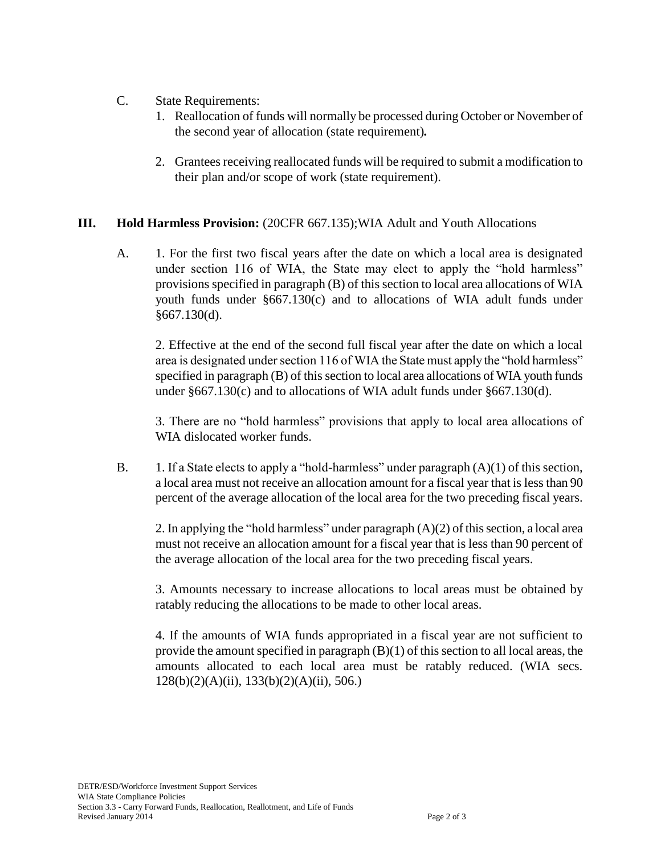- C. State Requirements:
	- 1. Reallocation of funds will normally be processed during October or November of the second year of allocation (state requirement)*.*
	- 2. Grantees receiving reallocated funds will be required to submit a modification to their plan and/or scope of work (state requirement).

## **III. Hold Harmless Provision:** (20CFR 667.135);WIA Adult and Youth Allocations

A. 1. For the first two fiscal years after the date on which a local area is designated under section 116 of WIA, the State may elect to apply the "hold harmless" provisions specified in paragraph (B) of this section to local area allocations of WIA youth funds under §667.130(c) and to allocations of WIA adult funds under §667.130(d).

2. Effective at the end of the second full fiscal year after the date on which a local area is designated under section 116 of WIA the State must apply the "hold harmless" specified in paragraph (B) of this section to local area allocations of WIA youth funds under §667.130(c) and to allocations of WIA adult funds under §667.130(d).

3. There are no "hold harmless" provisions that apply to local area allocations of WIA dislocated worker funds.

B. 1. If a State elects to apply a "hold-harmless" under paragraph  $(A)(1)$  of this section, a local area must not receive an allocation amount for a fiscal year that is less than 90 percent of the average allocation of the local area for the two preceding fiscal years.

2. In applying the "hold harmless" under paragraph (A)(2) of this section, a local area must not receive an allocation amount for a fiscal year that is less than 90 percent of the average allocation of the local area for the two preceding fiscal years.

3. Amounts necessary to increase allocations to local areas must be obtained by ratably reducing the allocations to be made to other local areas.

4. If the amounts of WIA funds appropriated in a fiscal year are not sufficient to provide the amount specified in paragraph (B)(1) of this section to all local areas, the amounts allocated to each local area must be ratably reduced. (WIA secs. 128(b)(2)(A)(ii), 133(b)(2)(A)(ii), 506.)